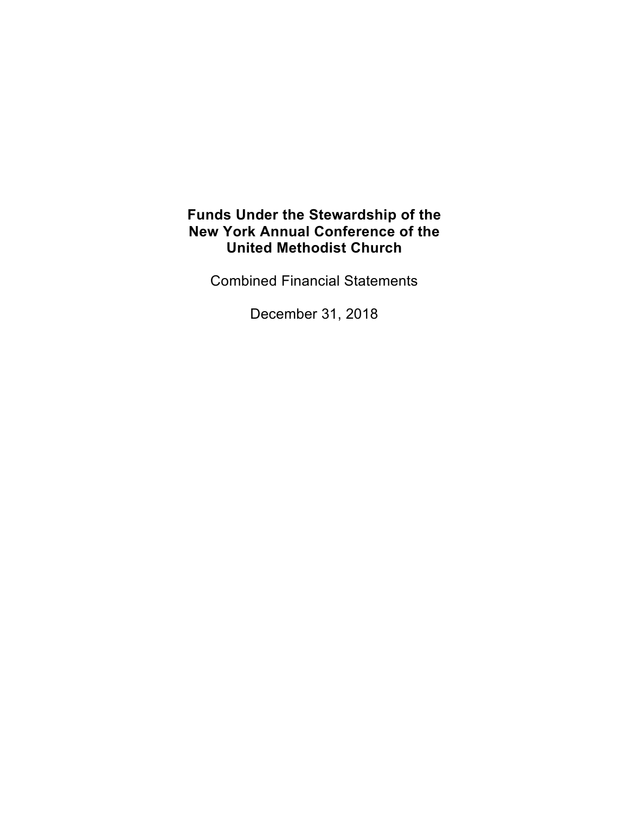Combined Financial Statements

December 31, 2018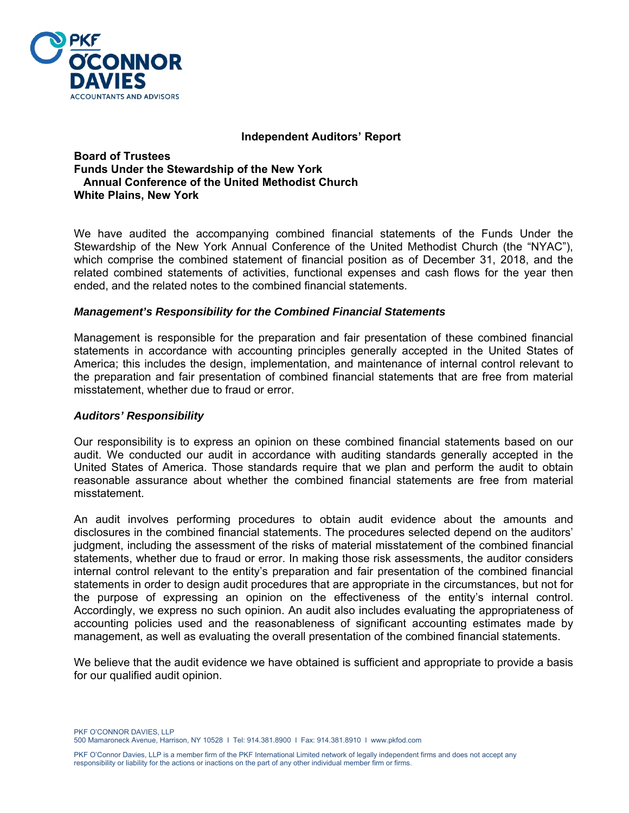

#### **Independent Auditors' Report**

**Board of Trustees Funds Under the Stewardship of the New York Annual Conference of the United Methodist Church White Plains, New York** 

We have audited the accompanying combined financial statements of the Funds Under the Stewardship of the New York Annual Conference of the United Methodist Church (the "NYAC"), which comprise the combined statement of financial position as of December 31, 2018, and the related combined statements of activities, functional expenses and cash flows for the year then ended, and the related notes to the combined financial statements.

#### *Management's Responsibility for the Combined Financial Statements*

Management is responsible for the preparation and fair presentation of these combined financial statements in accordance with accounting principles generally accepted in the United States of America; this includes the design, implementation, and maintenance of internal control relevant to the preparation and fair presentation of combined financial statements that are free from material misstatement, whether due to fraud or error.

#### *Auditors' Responsibility*

Our responsibility is to express an opinion on these combined financial statements based on our audit. We conducted our audit in accordance with auditing standards generally accepted in the United States of America. Those standards require that we plan and perform the audit to obtain reasonable assurance about whether the combined financial statements are free from material misstatement.

An audit involves performing procedures to obtain audit evidence about the amounts and disclosures in the combined financial statements. The procedures selected depend on the auditors' judgment, including the assessment of the risks of material misstatement of the combined financial statements, whether due to fraud or error. In making those risk assessments, the auditor considers internal control relevant to the entity's preparation and fair presentation of the combined financial statements in order to design audit procedures that are appropriate in the circumstances, but not for the purpose of expressing an opinion on the effectiveness of the entity's internal control. Accordingly, we express no such opinion. An audit also includes evaluating the appropriateness of accounting policies used and the reasonableness of significant accounting estimates made by management, as well as evaluating the overall presentation of the combined financial statements.

We believe that the audit evidence we have obtained is sufficient and appropriate to provide a basis for our qualified audit opinion.

PKF O'CONNOR DAVIES, LLP 500 Mamaroneck Avenue, Harrison, NY 10528 I Tel: 914.381.8900 I Fax: 914.381.8910 I www.pkfod.com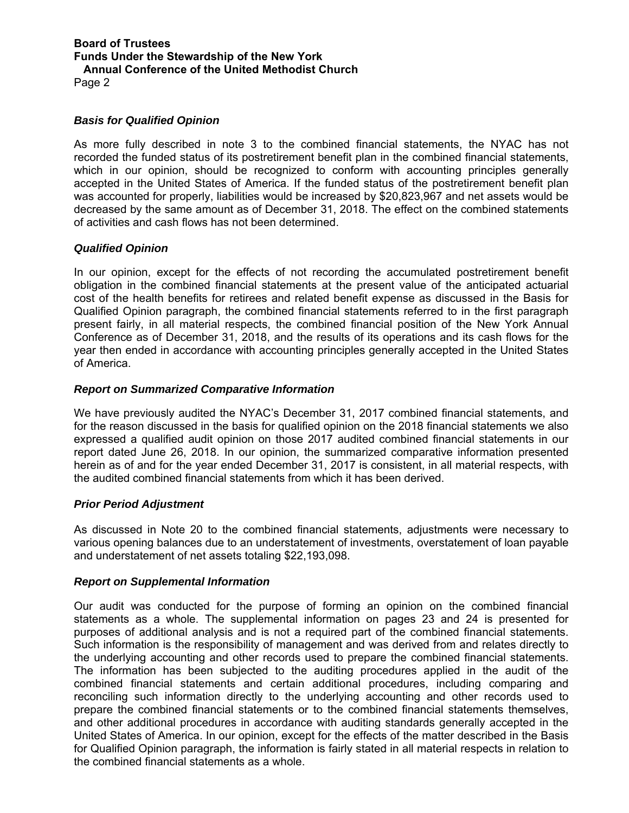Page 2

## *Basis for Qualified Opinion*

As more fully described in note 3 to the combined financial statements, the NYAC has not recorded the funded status of its postretirement benefit plan in the combined financial statements, which in our opinion, should be recognized to conform with accounting principles generally accepted in the United States of America. If the funded status of the postretirement benefit plan was accounted for properly, liabilities would be increased by \$20,823,967 and net assets would be decreased by the same amount as of December 31, 2018. The effect on the combined statements of activities and cash flows has not been determined.

## *Qualified Opinion*

In our opinion, except for the effects of not recording the accumulated postretirement benefit obligation in the combined financial statements at the present value of the anticipated actuarial cost of the health benefits for retirees and related benefit expense as discussed in the Basis for Qualified Opinion paragraph, the combined financial statements referred to in the first paragraph present fairly, in all material respects, the combined financial position of the New York Annual Conference as of December 31, 2018, and the results of its operations and its cash flows for the year then ended in accordance with accounting principles generally accepted in the United States of America.

## *Report on Summarized Comparative Information*

We have previously audited the NYAC's December 31, 2017 combined financial statements, and for the reason discussed in the basis for qualified opinion on the 2018 financial statements we also expressed a qualified audit opinion on those 2017 audited combined financial statements in our report dated June 26, 2018. In our opinion, the summarized comparative information presented herein as of and for the year ended December 31, 2017 is consistent, in all material respects, with the audited combined financial statements from which it has been derived.

#### *Prior Period Adjustment*

As discussed in Note 20 to the combined financial statements, adjustments were necessary to various opening balances due to an understatement of investments, overstatement of loan payable and understatement of net assets totaling \$22,193,098.

#### *Report on Supplemental Information*

Our audit was conducted for the purpose of forming an opinion on the combined financial statements as a whole. The supplemental information on pages 23 and 24 is presented for purposes of additional analysis and is not a required part of the combined financial statements. Such information is the responsibility of management and was derived from and relates directly to the underlying accounting and other records used to prepare the combined financial statements. The information has been subjected to the auditing procedures applied in the audit of the combined financial statements and certain additional procedures, including comparing and reconciling such information directly to the underlying accounting and other records used to prepare the combined financial statements or to the combined financial statements themselves, and other additional procedures in accordance with auditing standards generally accepted in the United States of America. In our opinion, except for the effects of the matter described in the Basis for Qualified Opinion paragraph, the information is fairly stated in all material respects in relation to the combined financial statements as a whole.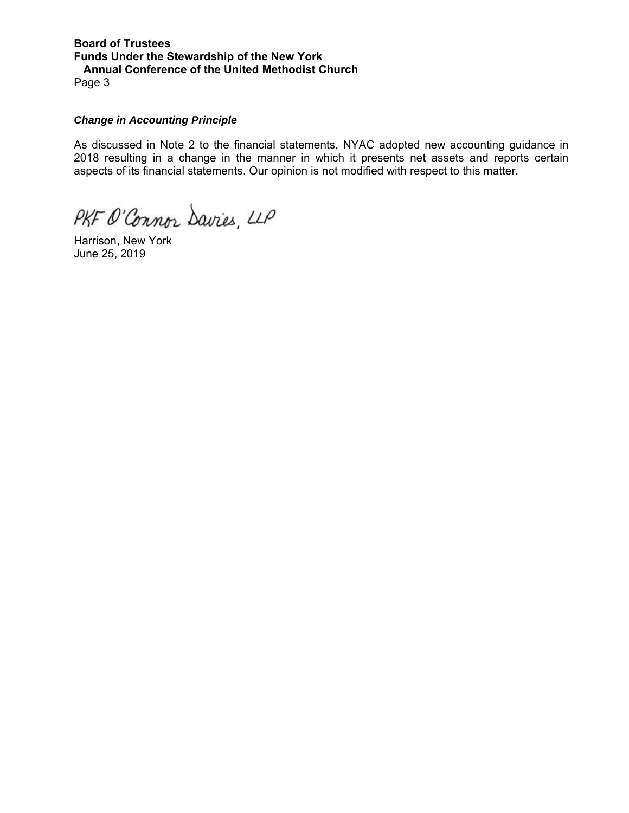**Board of Trustees Funds Under the Stewardship of the New York Annual Conference of the United Methodist Church**  Page 3

#### *Change in Accounting Principle*

As discussed in Note 2 to the financial statements, NYAC adopted new accounting guidance in 2018 resulting in a change in the manner in which it presents net assets and reports certain aspects of its financial statements. Our opinion is not modified with respect to this matter.

PKF O'Connor Davies, LLP

Harrison, New York June 25, 2019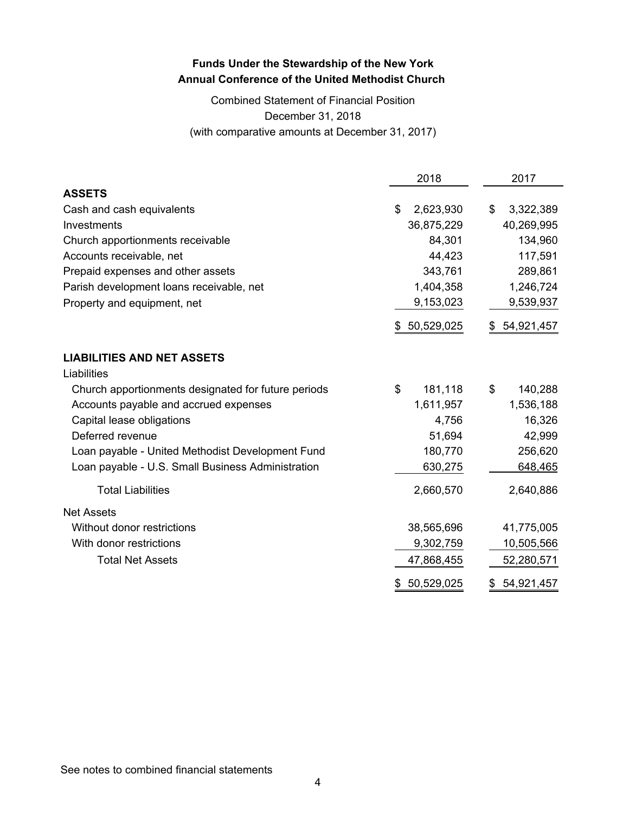# Combined Statement of Financial Position December 31, 2018 (with comparative amounts at December 31, 2017)

|                                                     | 2018              | 2017             |
|-----------------------------------------------------|-------------------|------------------|
| <b>ASSETS</b>                                       |                   |                  |
| Cash and cash equivalents                           | \$<br>2,623,930   | \$<br>3,322,389  |
| Investments                                         | 36,875,229        | 40,269,995       |
| Church apportionments receivable                    | 84,301            | 134,960          |
| Accounts receivable, net                            | 44,423            | 117,591          |
| Prepaid expenses and other assets                   | 343,761           | 289,861          |
| Parish development loans receivable, net            | 1,404,358         | 1,246,724        |
| Property and equipment, net                         | 9,153,023         | 9,539,937        |
|                                                     | 50,529,025<br>\$. | 54,921,457<br>\$ |
| <b>LIABILITIES AND NET ASSETS</b>                   |                   |                  |
| Liabilities                                         |                   |                  |
| Church apportionments designated for future periods | \$<br>181,118     | \$<br>140,288    |
| Accounts payable and accrued expenses               | 1,611,957         | 1,536,188        |
| Capital lease obligations                           | 4,756             | 16,326           |
| Deferred revenue                                    | 51,694            | 42,999           |
| Loan payable - United Methodist Development Fund    | 180,770           | 256,620          |
| Loan payable - U.S. Small Business Administration   | 630,275           | 648,465          |
| <b>Total Liabilities</b>                            | 2,660,570         | 2,640,886        |
| <b>Net Assets</b>                                   |                   |                  |
| Without donor restrictions                          | 38,565,696        | 41,775,005       |
| With donor restrictions                             | 9,302,759         | 10,505,566       |
| <b>Total Net Assets</b>                             | 47,868,455        | 52,280,571       |
|                                                     | 50,529,025<br>\$  | 54,921,457<br>\$ |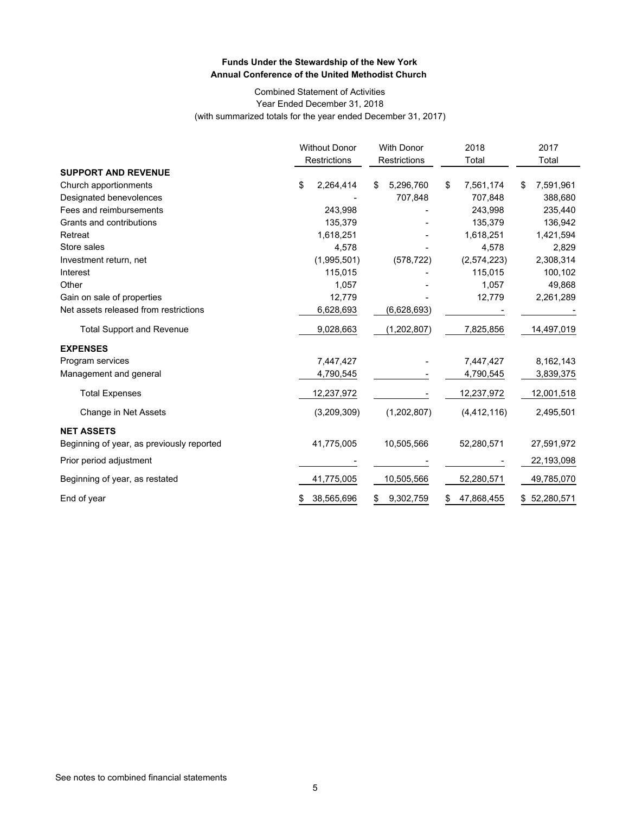#### Combined Statement of Activities Year Ended December 31, 2018 (with summarized totals for the year ended December 31, 2017)

|                                           | <b>Without Donor</b><br>Restrictions |    | <b>With Donor</b><br>Restrictions | 2018<br>Total    | 2017<br>Total   |
|-------------------------------------------|--------------------------------------|----|-----------------------------------|------------------|-----------------|
| <b>SUPPORT AND REVENUE</b>                |                                      |    |                                   |                  |                 |
| Church apportionments                     | \$<br>2,264,414                      | \$ | 5,296,760                         | \$<br>7,561,174  | \$<br>7,591,961 |
| Designated benevolences                   |                                      |    | 707,848                           | 707,848          | 388,680         |
| Fees and reimbursements                   | 243,998                              |    |                                   | 243,998          | 235,440         |
| Grants and contributions                  | 135,379                              |    |                                   | 135,379          | 136,942         |
| Retreat                                   | 1,618,251                            |    |                                   | 1,618,251        | 1,421,594       |
| Store sales                               | 4,578                                |    |                                   | 4,578            | 2,829           |
| Investment return, net                    | (1,995,501)                          |    | (578, 722)                        | (2,574,223)      | 2,308,314       |
| Interest                                  | 115,015                              |    |                                   | 115,015          | 100,102         |
| Other                                     | 1,057                                |    |                                   | 1,057            | 49,868          |
| Gain on sale of properties                | 12,779                               |    |                                   | 12,779           | 2,261,289       |
| Net assets released from restrictions     | 6,628,693                            |    | (6,628,693)                       |                  |                 |
| <b>Total Support and Revenue</b>          | 9,028,663                            |    | (1,202,807)                       | 7,825,856        | 14,497,019      |
| <b>EXPENSES</b>                           |                                      |    |                                   |                  |                 |
| Program services                          | 7,447,427                            |    |                                   | 7,447,427        | 8,162,143       |
| Management and general                    | 4,790,545                            |    |                                   | 4,790,545        | 3,839,375       |
| <b>Total Expenses</b>                     | 12,237,972                           |    |                                   | 12,237,972       | 12,001,518      |
| Change in Net Assets                      | (3,209,309)                          |    | (1,202,807)                       | (4, 412, 116)    | 2,495,501       |
| <b>NET ASSETS</b>                         |                                      |    |                                   |                  |                 |
| Beginning of year, as previously reported | 41,775,005                           |    | 10,505,566                        | 52,280,571       | 27,591,972      |
| Prior period adjustment                   |                                      |    |                                   |                  | 22,193,098      |
| Beginning of year, as restated            | 41,775,005                           |    | 10,505,566                        | 52,280,571       | 49,785,070      |
| End of year                               | \$<br>38,565,696                     | S. | 9,302,759                         | \$<br>47,868,455 | \$52,280,571    |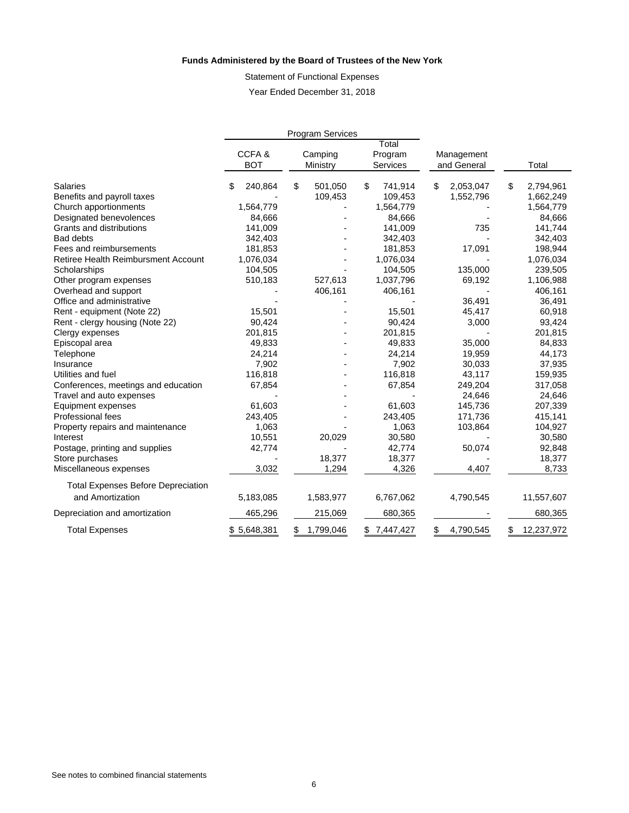#### **Funds Administered by the Board of Trustees of the New York**

Statement of Functional Expenses Year Ended December 31, 2018

|                                           |              | <b>Program Services</b> |                  |                 |                  |
|-------------------------------------------|--------------|-------------------------|------------------|-----------------|------------------|
|                                           | CCFA&        | Camping                 | Total<br>Program | Management      |                  |
|                                           | <b>BOT</b>   | Ministry                | Services         | and General     | Total            |
| <b>Salaries</b>                           | 240,864<br>S | \$<br>501,050           | \$<br>741,914    | \$<br>2,053,047 | \$<br>2,794,961  |
| Benefits and payroll taxes                |              | 109,453                 | 109,453          | 1,552,796       | 1,662,249        |
| Church apportionments                     | 1,564,779    |                         | 1,564,779        |                 | 1,564,779        |
| Designated benevolences                   | 84,666       |                         | 84,666           |                 | 84,666           |
| Grants and distributions                  | 141,009      |                         | 141,009          | 735             | 141,744          |
| <b>Bad debts</b>                          | 342,403      |                         | 342,403          |                 | 342,403          |
| Fees and reimbursements                   | 181,853      |                         | 181,853          | 17,091          | 198,944          |
| Retiree Health Reimbursment Account       | 1,076,034    |                         | 1,076,034        |                 | 1,076,034        |
| Scholarships                              | 104,505      |                         | 104,505          | 135,000         | 239,505          |
| Other program expenses                    | 510,183      | 527,613                 | 1,037,796        | 69,192          | 1,106,988        |
| Overhead and support                      |              | 406,161                 | 406,161          |                 | 406,161          |
| Office and administrative                 |              |                         |                  | 36,491          | 36,491           |
| Rent - equipment (Note 22)                | 15,501       |                         | 15,501           | 45,417          | 60,918           |
| Rent - clergy housing (Note 22)           | 90,424       |                         | 90,424           | 3,000           | 93,424           |
| Clergy expenses                           | 201,815      |                         | 201,815          |                 | 201,815          |
| Episcopal area                            | 49,833       |                         | 49,833           | 35,000          | 84,833           |
| Telephone                                 | 24,214       |                         | 24,214           | 19,959          | 44,173           |
| Insurance                                 | 7,902        |                         | 7,902            | 30,033          | 37,935           |
| Utilities and fuel                        | 116,818      |                         | 116,818          | 43,117          | 159,935          |
| Conferences, meetings and education       | 67,854       |                         | 67,854           | 249,204         | 317,058          |
| Travel and auto expenses                  |              |                         |                  | 24,646          | 24,646           |
| Equipment expenses                        | 61,603       |                         | 61,603           | 145,736         | 207,339          |
| Professional fees                         | 243,405      |                         | 243,405          | 171,736         | 415,141          |
| Property repairs and maintenance          | 1,063        |                         | 1,063            | 103,864         | 104,927          |
| Interest                                  | 10,551       | 20,029                  | 30,580           |                 | 30,580           |
| Postage, printing and supplies            | 42,774       |                         | 42,774           | 50,074          | 92,848           |
| Store purchases                           |              | 18,377                  | 18,377           |                 | 18,377           |
| Miscellaneous expenses                    | 3,032        | 1,294                   | 4,326            | 4,407           | 8,733            |
| <b>Total Expenses Before Depreciation</b> |              |                         |                  |                 |                  |
| and Amortization                          | 5,183,085    | 1,583,977               | 6,767,062        | 4,790,545       | 11,557,607       |
| Depreciation and amortization             | 465,296      | 215,069                 | 680,365          |                 | 680,365          |
| <b>Total Expenses</b>                     | \$5,648,381  | \$<br>1,799,046         | \$7,447,427      | \$<br>4,790,545 | \$<br>12,237,972 |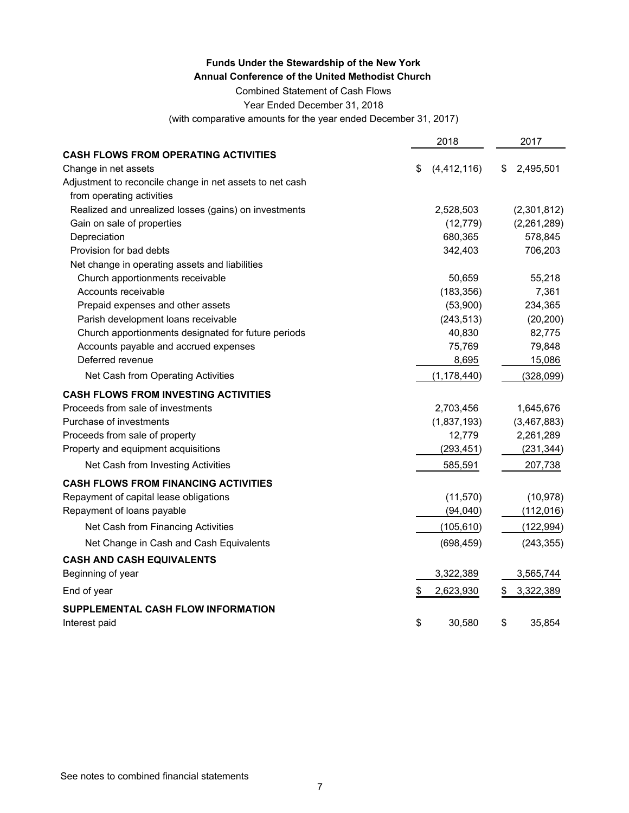Combined Statement of Cash Flows

Year Ended December 31, 2018

(with comparative amounts for the year ended December 31, 2017)

|                                                          | 2018                |    | 2017        |
|----------------------------------------------------------|---------------------|----|-------------|
| <b>CASH FLOWS FROM OPERATING ACTIVITIES</b>              |                     |    |             |
| Change in net assets                                     | \$<br>(4, 412, 116) | S  | 2,495,501   |
| Adjustment to reconcile change in net assets to net cash |                     |    |             |
| from operating activities                                |                     |    |             |
| Realized and unrealized losses (gains) on investments    | 2,528,503           |    | (2,301,812) |
| Gain on sale of properties                               | (12, 779)           |    | (2,261,289) |
| Depreciation                                             | 680,365             |    | 578,845     |
| Provision for bad debts                                  | 342,403             |    | 706,203     |
| Net change in operating assets and liabilities           |                     |    |             |
| Church apportionments receivable                         | 50,659              |    | 55,218      |
| Accounts receivable                                      | (183, 356)          |    | 7,361       |
| Prepaid expenses and other assets                        | (53,900)            |    | 234,365     |
| Parish development loans receivable                      | (243, 513)          |    | (20, 200)   |
| Church apportionments designated for future periods      | 40,830              |    | 82,775      |
| Accounts payable and accrued expenses                    | 75,769              |    | 79,848      |
| Deferred revenue                                         | 8,695               |    | 15,086      |
| Net Cash from Operating Activities                       | (1, 178, 440)       |    | (328,099)   |
| <b>CASH FLOWS FROM INVESTING ACTIVITIES</b>              |                     |    |             |
| Proceeds from sale of investments                        | 2,703,456           |    | 1,645,676   |
| Purchase of investments                                  | (1,837,193)         |    | (3,467,883) |
| Proceeds from sale of property                           | 12,779              |    | 2,261,289   |
| Property and equipment acquisitions                      | (293, 451)          |    | (231, 344)  |
| Net Cash from Investing Activities                       | 585,591             |    | 207,738     |
| <b>CASH FLOWS FROM FINANCING ACTIVITIES</b>              |                     |    |             |
| Repayment of capital lease obligations                   | (11, 570)           |    | (10, 978)   |
| Repayment of loans payable                               | (94,040)            |    | (112, 016)  |
| Net Cash from Financing Activities                       | (105, 610)          |    | (122, 994)  |
| Net Change in Cash and Cash Equivalents                  | (698, 459)          |    | (243, 355)  |
| <b>CASH AND CASH EQUIVALENTS</b>                         |                     |    |             |
| Beginning of year                                        | 3,322,389           |    | 3,565,744   |
| End of year                                              | \$<br>2,623,930     | \$ | 3,322,389   |
| SUPPLEMENTAL CASH FLOW INFORMATION                       |                     |    |             |
| Interest paid                                            | \$<br>30,580        | \$ | 35,854      |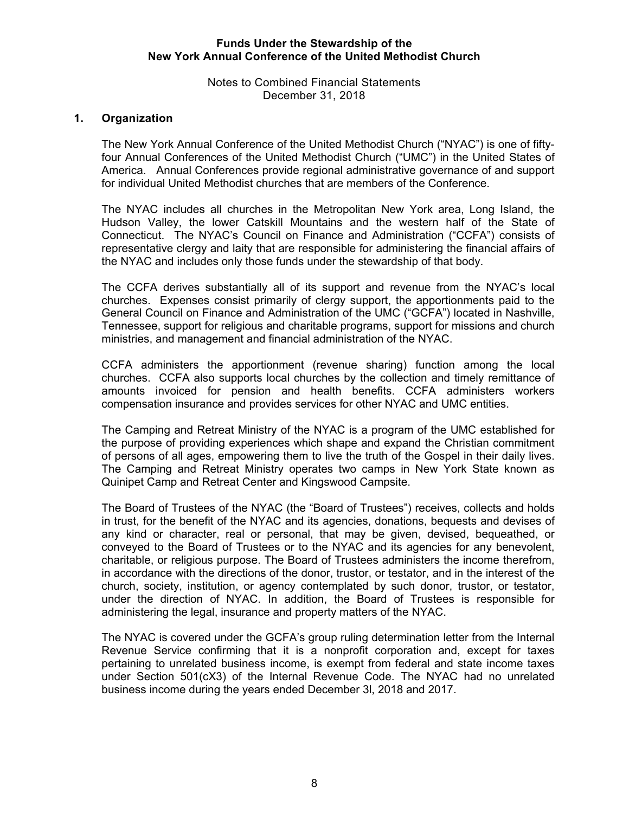Notes to Combined Financial Statements December 31, 2018

# **1. Organization**

The New York Annual Conference of the United Methodist Church ("NYAC") is one of fiftyfour Annual Conferences of the United Methodist Church ("UMC") in the United States of America. Annual Conferences provide regional administrative governance of and support for individual United Methodist churches that are members of the Conference.

The NYAC includes all churches in the Metropolitan New York area, Long Island, the Hudson Valley, the lower Catskill Mountains and the western half of the State of Connecticut. The NYAC's Council on Finance and Administration ("CCFA") consists of representative clergy and laity that are responsible for administering the financial affairs of the NYAC and includes only those funds under the stewardship of that body.

The CCFA derives substantially all of its support and revenue from the NYAC's local churches. Expenses consist primarily of clergy support, the apportionments paid to the General Council on Finance and Administration of the UMC ("GCFA") located in Nashville, Tennessee, support for religious and charitable programs, support for missions and church ministries, and management and financial administration of the NYAC.

CCFA administers the apportionment (revenue sharing) function among the local churches. CCFA also supports local churches by the collection and timely remittance of amounts invoiced for pension and health benefits. CCFA administers workers compensation insurance and provides services for other NYAC and UMC entities.

The Camping and Retreat Ministry of the NYAC is a program of the UMC established for the purpose of providing experiences which shape and expand the Christian commitment of persons of all ages, empowering them to live the truth of the Gospel in their daily lives. The Camping and Retreat Ministry operates two camps in New York State known as Quinipet Camp and Retreat Center and Kingswood Campsite.

The Board of Trustees of the NYAC (the "Board of Trustees") receives, collects and holds in trust, for the benefit of the NYAC and its agencies, donations, bequests and devises of any kind or character, real or personal, that may be given, devised, bequeathed, or conveyed to the Board of Trustees or to the NYAC and its agencies for any benevolent, charitable, or religious purpose. The Board of Trustees administers the income therefrom, in accordance with the directions of the donor, trustor, or testator, and in the interest of the church, society, institution, or agency contemplated by such donor, trustor, or testator, under the direction of NYAC. In addition, the Board of Trustees is responsible for administering the legal, insurance and property matters of the NYAC.

The NYAC is covered under the GCFA's group ruling determination letter from the Internal Revenue Service confirming that it is a nonprofit corporation and, except for taxes pertaining to unrelated business income, is exempt from federal and state income taxes under Section 501(cX3) of the Internal Revenue Code. The NYAC had no unrelated business income during the years ended December 3l, 2018 and 2017.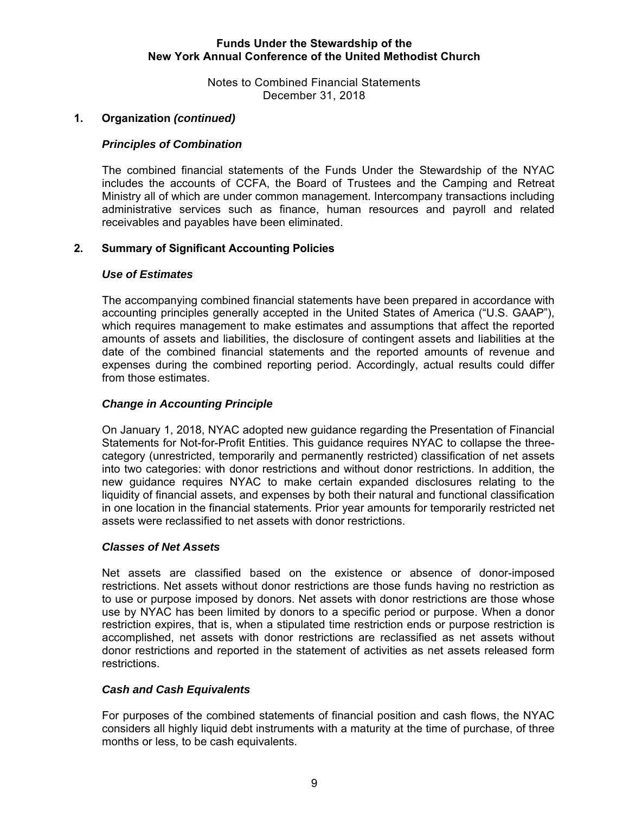Notes to Combined Financial Statements December 31, 2018

# **1. Organization** *(continued)*

# *Principles of Combination*

The combined financial statements of the Funds Under the Stewardship of the NYAC includes the accounts of CCFA, the Board of Trustees and the Camping and Retreat Ministry all of which are under common management. Intercompany transactions including administrative services such as finance, human resources and payroll and related receivables and payables have been eliminated.

# **2. Summary of Significant Accounting Policies**

# *Use of Estimates*

The accompanying combined financial statements have been prepared in accordance with accounting principles generally accepted in the United States of America ("U.S. GAAP"), which requires management to make estimates and assumptions that affect the reported amounts of assets and liabilities, the disclosure of contingent assets and liabilities at the date of the combined financial statements and the reported amounts of revenue and expenses during the combined reporting period. Accordingly, actual results could differ from those estimates.

# *Change in Accounting Principle*

On January 1, 2018, NYAC adopted new guidance regarding the Presentation of Financial Statements for Not-for-Profit Entities. This guidance requires NYAC to collapse the threecategory (unrestricted, temporarily and permanently restricted) classification of net assets into two categories: with donor restrictions and without donor restrictions. In addition, the new guidance requires NYAC to make certain expanded disclosures relating to the liquidity of financial assets, and expenses by both their natural and functional classification in one location in the financial statements. Prior year amounts for temporarily restricted net assets were reclassified to net assets with donor restrictions.

#### *Classes of Net Assets*

Net assets are classified based on the existence or absence of donor-imposed restrictions. Net assets without donor restrictions are those funds having no restriction as to use or purpose imposed by donors. Net assets with donor restrictions are those whose use by NYAC has been limited by donors to a specific period or purpose. When a donor restriction expires, that is, when a stipulated time restriction ends or purpose restriction is accomplished, net assets with donor restrictions are reclassified as net assets without donor restrictions and reported in the statement of activities as net assets released form restrictions.

# *Cash and Cash Equivalents*

For purposes of the combined statements of financial position and cash flows, the NYAC considers all highly liquid debt instruments with a maturity at the time of purchase, of three months or less, to be cash equivalents.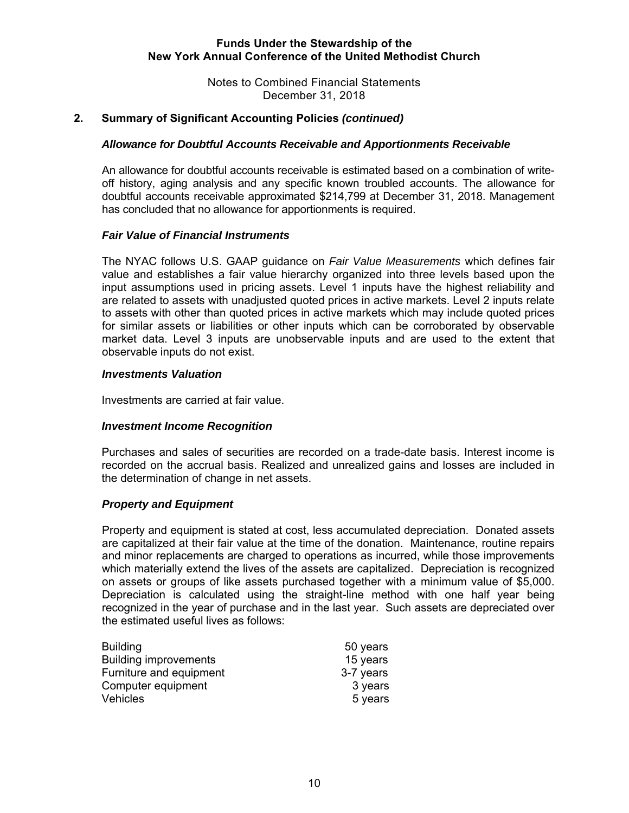Notes to Combined Financial Statements December 31, 2018

## **2. Summary of Significant Accounting Policies** *(continued)*

#### *Allowance for Doubtful Accounts Receivable and Apportionments Receivable*

An allowance for doubtful accounts receivable is estimated based on a combination of writeoff history, aging analysis and any specific known troubled accounts. The allowance for doubtful accounts receivable approximated \$214,799 at December 31, 2018. Management has concluded that no allowance for apportionments is required.

#### *Fair Value of Financial Instruments*

 The NYAC follows U.S. GAAP guidance on *Fair Value Measurements* which defines fair value and establishes a fair value hierarchy organized into three levels based upon the input assumptions used in pricing assets. Level 1 inputs have the highest reliability and are related to assets with unadjusted quoted prices in active markets. Level 2 inputs relate to assets with other than quoted prices in active markets which may include quoted prices for similar assets or liabilities or other inputs which can be corroborated by observable market data. Level 3 inputs are unobservable inputs and are used to the extent that observable inputs do not exist.

#### *Investments Valuation*

Investments are carried at fair value.

#### *Investment Income Recognition*

Purchases and sales of securities are recorded on a trade-date basis. Interest income is recorded on the accrual basis. Realized and unrealized gains and losses are included in the determination of change in net assets.

#### *Property and Equipment*

Property and equipment is stated at cost, less accumulated depreciation. Donated assets are capitalized at their fair value at the time of the donation. Maintenance, routine repairs and minor replacements are charged to operations as incurred, while those improvements which materially extend the lives of the assets are capitalized. Depreciation is recognized on assets or groups of like assets purchased together with a minimum value of \$5,000. Depreciation is calculated using the straight-line method with one half year being recognized in the year of purchase and in the last year. Such assets are depreciated over the estimated useful lives as follows:

| <b>Building</b>              | 50 years  |
|------------------------------|-----------|
| <b>Building improvements</b> | 15 years  |
| Furniture and equipment      | 3-7 years |
| Computer equipment           | 3 years   |
| Vehicles                     | 5 years   |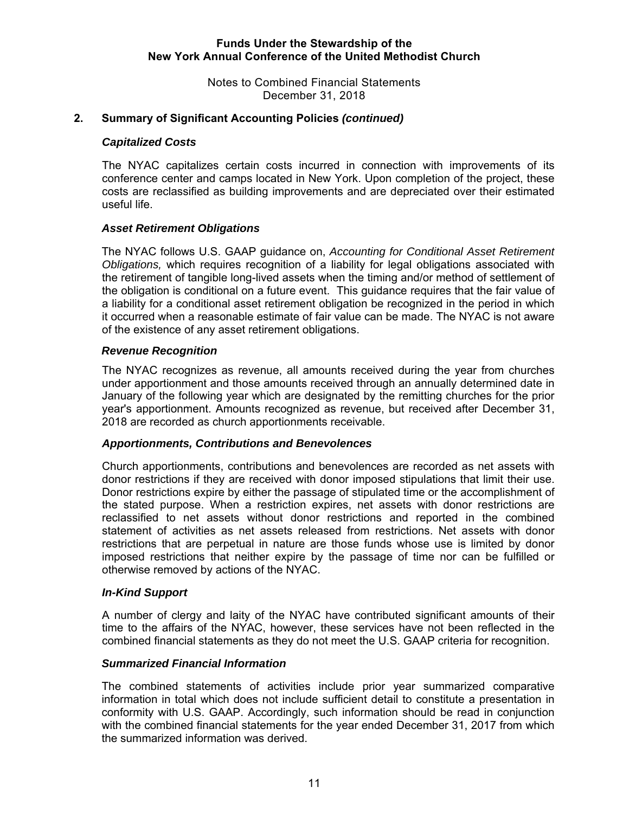Notes to Combined Financial Statements December 31, 2018

# **2. Summary of Significant Accounting Policies** *(continued)*

#### *Capitalized Costs*

The NYAC capitalizes certain costs incurred in connection with improvements of its conference center and camps located in New York. Upon completion of the project, these costs are reclassified as building improvements and are depreciated over their estimated useful life.

## *Asset Retirement Obligations*

 The NYAC follows U.S. GAAP guidance on, *Accounting for Conditional Asset Retirement Obligations,* which requires recognition of a liability for legal obligations associated with the retirement of tangible long-lived assets when the timing and/or method of settlement of the obligation is conditional on a future event. This guidance requires that the fair value of a liability for a conditional asset retirement obligation be recognized in the period in which it occurred when a reasonable estimate of fair value can be made. The NYAC is not aware of the existence of any asset retirement obligations.

## *Revenue Recognition*

The NYAC recognizes as revenue, all amounts received during the year from churches under apportionment and those amounts received through an annually determined date in January of the following year which are designated by the remitting churches for the prior year's apportionment. Amounts recognized as revenue, but received after December 31, 2018 are recorded as church apportionments receivable.

#### *Apportionments, Contributions and Benevolences*

Church apportionments, contributions and benevolences are recorded as net assets with donor restrictions if they are received with donor imposed stipulations that limit their use. Donor restrictions expire by either the passage of stipulated time or the accomplishment of the stated purpose. When a restriction expires, net assets with donor restrictions are reclassified to net assets without donor restrictions and reported in the combined statement of activities as net assets released from restrictions. Net assets with donor restrictions that are perpetual in nature are those funds whose use is limited by donor imposed restrictions that neither expire by the passage of time nor can be fulfilled or otherwise removed by actions of the NYAC.

#### *In-Kind Support*

A number of clergy and laity of the NYAC have contributed significant amounts of their time to the affairs of the NYAC, however, these services have not been reflected in the combined financial statements as they do not meet the U.S. GAAP criteria for recognition.

#### *Summarized Financial Information*

The combined statements of activities include prior year summarized comparative information in total which does not include sufficient detail to constitute a presentation in conformity with U.S. GAAP. Accordingly, such information should be read in conjunction with the combined financial statements for the year ended December 31, 2017 from which the summarized information was derived.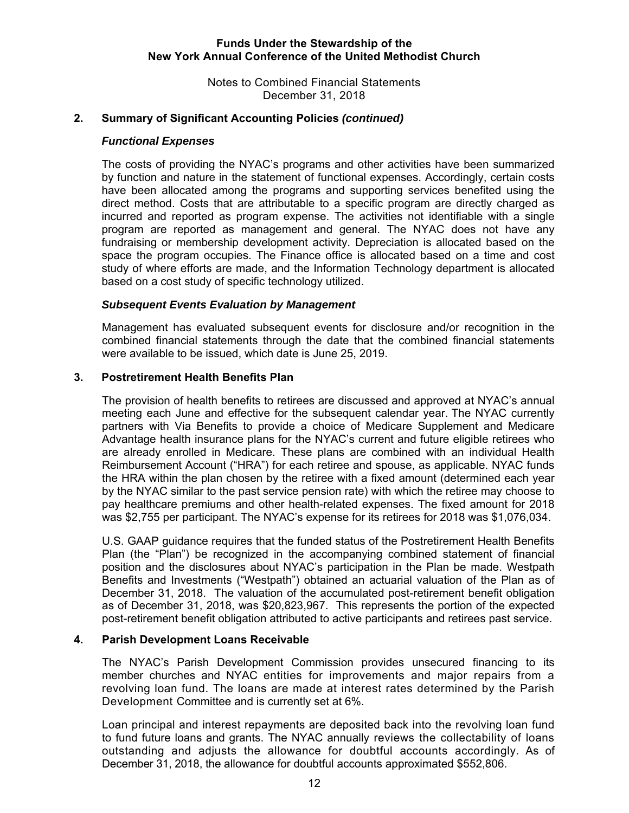Notes to Combined Financial Statements December 31, 2018

# **2. Summary of Significant Accounting Policies** *(continued)*

#### *Functional Expenses*

The costs of providing the NYAC's programs and other activities have been summarized by function and nature in the statement of functional expenses. Accordingly, certain costs have been allocated among the programs and supporting services benefited using the direct method. Costs that are attributable to a specific program are directly charged as incurred and reported as program expense. The activities not identifiable with a single program are reported as management and general. The NYAC does not have any fundraising or membership development activity. Depreciation is allocated based on the space the program occupies. The Finance office is allocated based on a time and cost study of where efforts are made, and the Information Technology department is allocated based on a cost study of specific technology utilized.

## *Subsequent Events Evaluation by Management*

Management has evaluated subsequent events for disclosure and/or recognition in the combined financial statements through the date that the combined financial statements were available to be issued, which date is June 25, 2019.

## **3. Postretirement Health Benefits Plan**

The provision of health benefits to retirees are discussed and approved at NYAC's annual meeting each June and effective for the subsequent calendar year. The NYAC currently partners with Via Benefits to provide a choice of Medicare Supplement and Medicare Advantage health insurance plans for the NYAC's current and future eligible retirees who are already enrolled in Medicare. These plans are combined with an individual Health Reimbursement Account ("HRA") for each retiree and spouse, as applicable. NYAC funds the HRA within the plan chosen by the retiree with a fixed amount (determined each year by the NYAC similar to the past service pension rate) with which the retiree may choose to pay healthcare premiums and other health-related expenses. The fixed amount for 2018 was \$2,755 per participant. The NYAC's expense for its retirees for 2018 was \$1,076,034.

U.S. GAAP guidance requires that the funded status of the Postretirement Health Benefits Plan (the "Plan") be recognized in the accompanying combined statement of financial position and the disclosures about NYAC's participation in the Plan be made. Westpath Benefits and Investments ("Westpath") obtained an actuarial valuation of the Plan as of December 31, 2018. The valuation of the accumulated post-retirement benefit obligation as of December 31, 2018, was \$20,823,967. This represents the portion of the expected post-retirement benefit obligation attributed to active participants and retirees past service.

# **4. Parish Development Loans Receivable**

The NYAC's Parish Development Commission provides unsecured financing to its member churches and NYAC entities for improvements and major repairs from a revolving loan fund. The loans are made at interest rates determined by the Parish Development Committee and is currently set at 6%.

Loan principal and interest repayments are deposited back into the revolving loan fund to fund future loans and grants. The NYAC annually reviews the collectability of loans outstanding and adjusts the allowance for doubtful accounts accordingly. As of December 31, 2018, the allowance for doubtful accounts approximated \$552,806.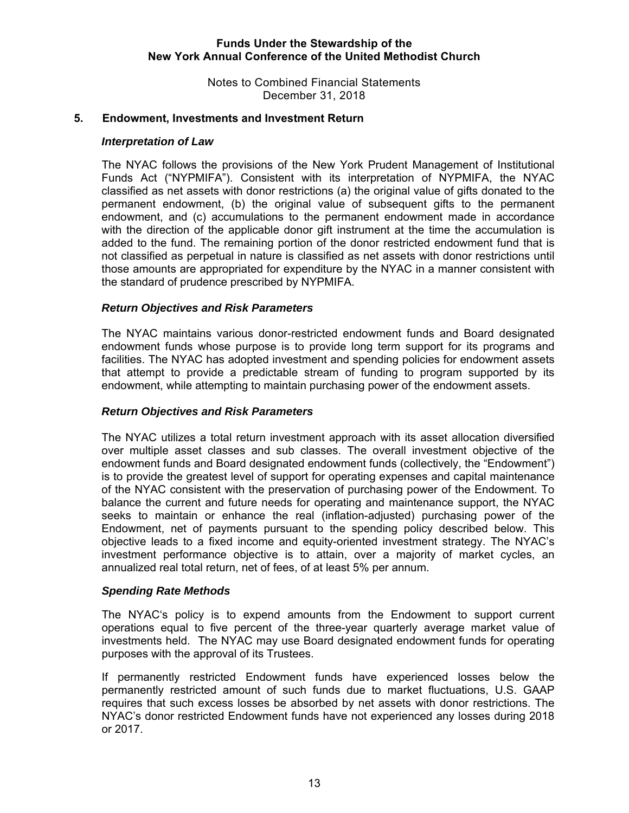Notes to Combined Financial Statements December 31, 2018

#### **5. Endowment, Investments and Investment Return**

#### *Interpretation of Law*

 The NYAC follows the provisions of the New York Prudent Management of Institutional Funds Act ("NYPMIFA"). Consistent with its interpretation of NYPMIFA, the NYAC classified as net assets with donor restrictions (a) the original value of gifts donated to the permanent endowment, (b) the original value of subsequent gifts to the permanent endowment, and (c) accumulations to the permanent endowment made in accordance with the direction of the applicable donor gift instrument at the time the accumulation is added to the fund. The remaining portion of the donor restricted endowment fund that is not classified as perpetual in nature is classified as net assets with donor restrictions until those amounts are appropriated for expenditure by the NYAC in a manner consistent with the standard of prudence prescribed by NYPMIFA.

#### *Return Objectives and Risk Parameters*

The NYAC maintains various donor-restricted endowment funds and Board designated endowment funds whose purpose is to provide long term support for its programs and facilities. The NYAC has adopted investment and spending policies for endowment assets that attempt to provide a predictable stream of funding to program supported by its endowment, while attempting to maintain purchasing power of the endowment assets.

#### *Return Objectives and Risk Parameters*

The NYAC utilizes a total return investment approach with its asset allocation diversified over multiple asset classes and sub classes. The overall investment objective of the endowment funds and Board designated endowment funds (collectively, the "Endowment") is to provide the greatest level of support for operating expenses and capital maintenance of the NYAC consistent with the preservation of purchasing power of the Endowment. To balance the current and future needs for operating and maintenance support, the NYAC seeks to maintain or enhance the real (inflation-adjusted) purchasing power of the Endowment, net of payments pursuant to the spending policy described below. This objective leads to a fixed income and equity-oriented investment strategy. The NYAC's investment performance objective is to attain, over a majority of market cycles, an annualized real total return, net of fees, of at least 5% per annum.

#### *Spending Rate Methods*

The NYAC's policy is to expend amounts from the Endowment to support current operations equal to five percent of the three-year quarterly average market value of investments held. The NYAC may use Board designated endowment funds for operating purposes with the approval of its Trustees.

If permanently restricted Endowment funds have experienced losses below the permanently restricted amount of such funds due to market fluctuations, U.S. GAAP requires that such excess losses be absorbed by net assets with donor restrictions. The NYAC's donor restricted Endowment funds have not experienced any losses during 2018 or 2017.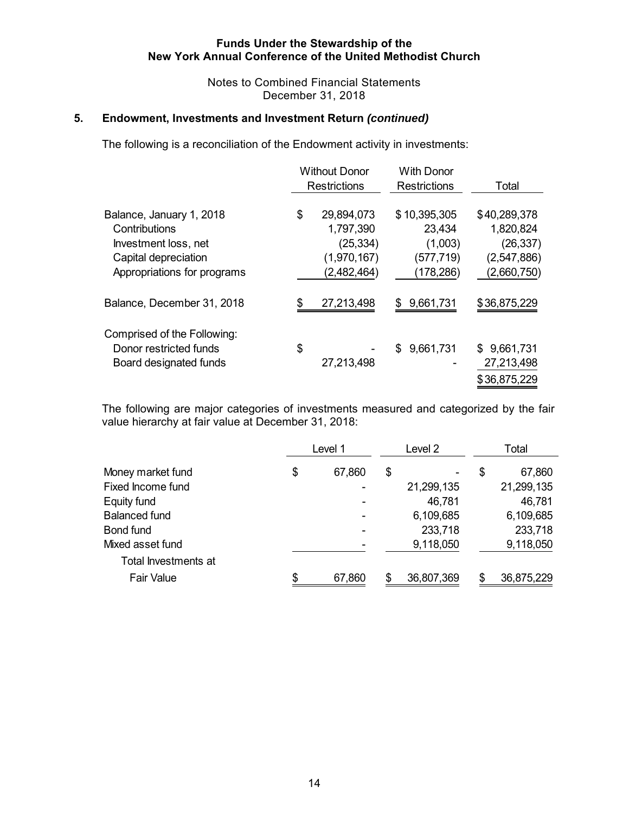Notes to Combined Financial Statements December 31, 2018

# **5. Endowment, Investments and Investment Return** *(continued)*

The following is a reconciliation of the Endowment activity in investments:

|                                                                                                                          | <b>Without Donor</b><br><b>Restrictions</b>                              | <b>With Donor</b><br><b>Restrictions</b>                     | Total                                                                  |
|--------------------------------------------------------------------------------------------------------------------------|--------------------------------------------------------------------------|--------------------------------------------------------------|------------------------------------------------------------------------|
| Balance, January 1, 2018<br>Contributions<br>Investment loss, net<br>Capital depreciation<br>Appropriations for programs | \$<br>29,894,073<br>1,797,390<br>(25, 334)<br>(1,970,167)<br>(2,482,464) | \$10,395,305<br>23,434<br>(1,003)<br>(577,719)<br>(178, 286) | \$40,289,378<br>1,820,824<br>(26, 337)<br>(2, 547, 886)<br>(2,660,750) |
| Balance, December 31, 2018                                                                                               | \$<br>27,213,498                                                         | \$9,661,731                                                  | \$36,875,229                                                           |
| Comprised of the Following:<br>Donor restricted funds<br>Board designated funds                                          | \$<br>27,213,498                                                         | 9,661,731<br>\$.                                             | \$9,661,731<br>27,213,498<br>\$36,875,229                              |

The following are major categories of investments measured and categorized by the fair value hierarchy at fair value at December 31, 2018:

|                      | Level 1      | Level 2    | Total        |
|----------------------|--------------|------------|--------------|
| Money market fund    | \$<br>67,860 | \$         | \$<br>67,860 |
| Fixed Income fund    |              | 21,299,135 | 21,299,135   |
| Equity fund          |              | 46,781     | 46,781       |
| <b>Balanced fund</b> |              | 6,109,685  | 6,109,685    |
| Bond fund            |              | 233,718    | 233,718      |
| Mixed asset fund     |              | 9,118,050  | 9,118,050    |
| Total Investments at |              |            |              |
| <b>Fair Value</b>    | \$<br>67,860 | 36,807,369 | 36,875,229   |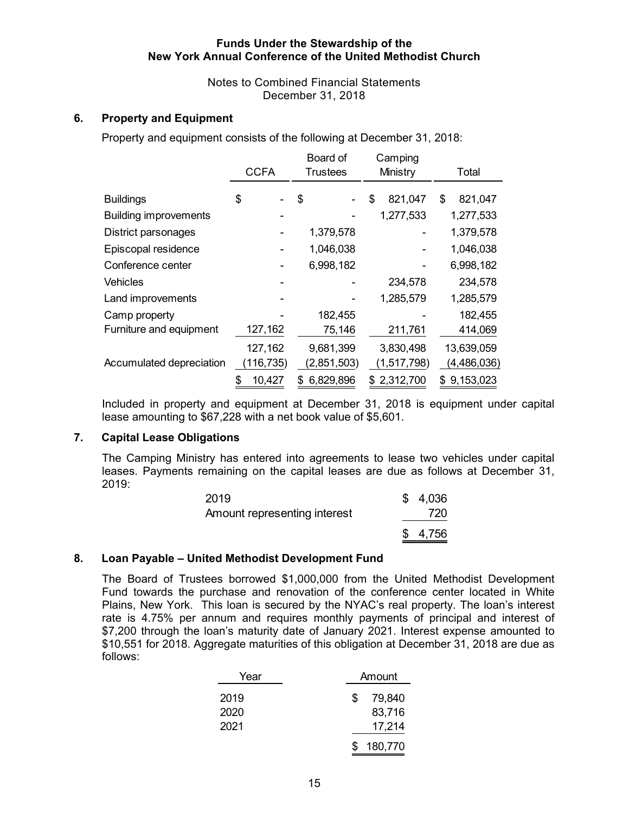Notes to Combined Financial Statements December 31, 2018

# **6. Property and Equipment**

Property and equipment consists of the following at December 31, 2018:

|                              | <b>CCFA</b>  | Board of<br><b>Trustees</b> | Camping<br>Ministry | Total         |
|------------------------------|--------------|-----------------------------|---------------------|---------------|
|                              |              |                             |                     |               |
| <b>Buildings</b>             | \$           | \$                          | \$<br>821,047       | \$<br>821,047 |
| <b>Building improvements</b> |              |                             | 1,277,533           | 1,277,533     |
| District parsonages          |              | 1,379,578                   |                     | 1,379,578     |
| Episcopal residence          |              | 1,046,038                   |                     | 1,046,038     |
| Conference center            |              | 6,998,182                   |                     | 6,998,182     |
| <b>Vehicles</b>              |              |                             | 234,578             | 234,578       |
| Land improvements            |              |                             | 1,285,579           | 1,285,579     |
| Camp property                |              | 182,455                     |                     | 182,455       |
| Furniture and equipment      | 127,162      | 75,146                      | 211,761             | 414,069       |
|                              | 127,162      | 9,681,399                   | 3,830,498           | 13,639,059    |
| Accumulated depreciation     | (116, 735)   | (2,851,503)                 | (1,517,798)         | (4,486,036)   |
|                              | 10,427<br>\$ | 6,829,896<br>\$.            | \$2,312,700         | \$9,153,023   |

Included in property and equipment at December 31, 2018 is equipment under capital lease amounting to \$67,228 with a net book value of \$5,601.

#### **7. Capital Lease Obligations**

The Camping Ministry has entered into agreements to lease two vehicles under capital leases. Payments remaining on the capital leases are due as follows at December 31, 2019:

| 2019                         | \$4,036 |
|------------------------------|---------|
| Amount representing interest | 720     |
|                              | \$4,756 |

#### **8. Loan Payable – United Methodist Development Fund**

The Board of Trustees borrowed \$1,000,000 from the United Methodist Development Fund towards the purchase and renovation of the conference center located in White Plains, New York. This loan is secured by the NYAC's real property. The loan's interest rate is 4.75% per annum and requires monthly payments of principal and interest of \$7,200 through the loan's maturity date of January 2021. Interest expense amounted to \$10,551 for 2018. Aggregate maturities of this obligation at December 31, 2018 are due as follows:

| Year | Amount        |
|------|---------------|
| 2019 | 79,840<br>\$. |
| 2020 | 83,716        |
| 2021 | 17,214        |
|      | 180,770       |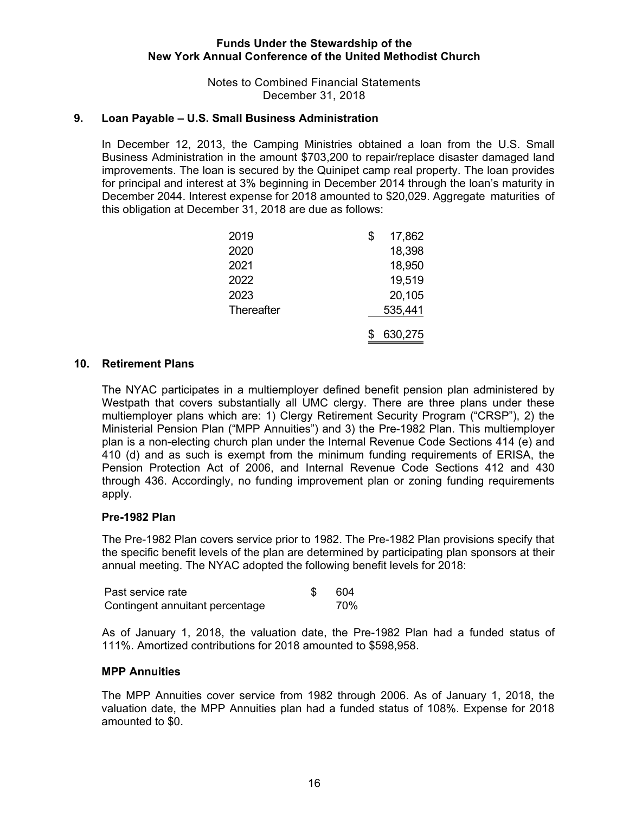Notes to Combined Financial Statements December 31, 2018

# **9. Loan Payable – U.S. Small Business Administration**

 In December 12, 2013, the Camping Ministries obtained a loan from the U.S. Small Business Administration in the amount \$703,200 to repair/replace disaster damaged land improvements. The loan is secured by the Quinipet camp real property. The loan provides for principal and interest at 3% beginning in December 2014 through the loan's maturity in December 2044. Interest expense for 2018 amounted to \$20,029. Aggregate maturities of this obligation at December 31, 2018 are due as follows:

| 2019       | \$<br>17,862 |
|------------|--------------|
| 2020       | 18,398       |
| 2021       | 18,950       |
| 2022       | 19,519       |
| 2023       | 20,105       |
| Thereafter | 535,441      |
|            | 630,275      |

## **10. Retirement Plans**

The NYAC participates in a multiemployer defined benefit pension plan administered by Westpath that covers substantially all UMC clergy. There are three plans under these multiemployer plans which are: 1) Clergy Retirement Security Program ("CRSP"), 2) the Ministerial Pension Plan ("MPP Annuities") and 3) the Pre-1982 Plan. This multiemployer plan is a non-electing church plan under the Internal Revenue Code Sections 414 (e) and 410 (d) and as such is exempt from the minimum funding requirements of ERISA, the Pension Protection Act of 2006, and Internal Revenue Code Sections 412 and 430 through 436. Accordingly, no funding improvement plan or zoning funding requirements apply.

#### **Pre-1982 Plan**

The Pre-1982 Plan covers service prior to 1982. The Pre-1982 Plan provisions specify that the specific benefit levels of the plan are determined by participating plan sponsors at their annual meeting. The NYAC adopted the following benefit levels for 2018:

| Past service rate               | -604 |
|---------------------------------|------|
| Contingent annuitant percentage | 70%  |

As of January 1, 2018, the valuation date, the Pre-1982 Plan had a funded status of 111%. Amortized contributions for 2018 amounted to \$598,958.

#### **MPP Annuities**

The MPP Annuities cover service from 1982 through 2006. As of January 1, 2018, the valuation date, the MPP Annuities plan had a funded status of 108%. Expense for 2018 amounted to \$0.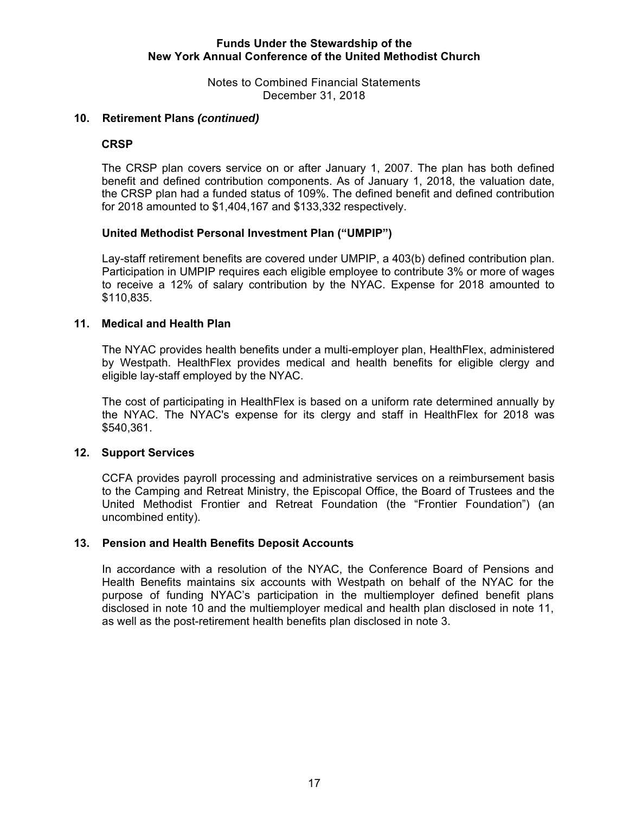Notes to Combined Financial Statements December 31, 2018

# **10. Retirement Plans** *(continued)*

## **CRSP**

The CRSP plan covers service on or after January 1, 2007. The plan has both defined benefit and defined contribution components. As of January 1, 2018, the valuation date, the CRSP plan had a funded status of 109%. The defined benefit and defined contribution for 2018 amounted to \$1,404,167 and \$133,332 respectively.

## **United Methodist Personal Investment Plan ("UMPIP")**

Lay-staff retirement benefits are covered under UMPIP, a 403(b) defined contribution plan. Participation in UMPIP requires each eligible employee to contribute 3% or more of wages to receive a 12% of salary contribution by the NYAC. Expense for 2018 amounted to \$110,835.

# **11. Medical and Health Plan**

The NYAC provides health benefits under a multi-employer plan, HealthFlex, administered by Westpath. HealthFlex provides medical and health benefits for eligible clergy and eligible lay-staff employed by the NYAC.

The cost of participating in HealthFlex is based on a uniform rate determined annually by the NYAC. The NYAC's expense for its clergy and staff in HealthFlex for 2018 was \$540,361.

# **12. Support Services**

CCFA provides payroll processing and administrative services on a reimbursement basis to the Camping and Retreat Ministry, the Episcopal Office, the Board of Trustees and the United Methodist Frontier and Retreat Foundation (the "Frontier Foundation") (an uncombined entity).

#### **13. Pension and Health Benefits Deposit Accounts**

In accordance with a resolution of the NYAC, the Conference Board of Pensions and Health Benefits maintains six accounts with Westpath on behalf of the NYAC for the purpose of funding NYAC's participation in the multiemployer defined benefit plans disclosed in note 10 and the multiemployer medical and health plan disclosed in note 11, as well as the post-retirement health benefits plan disclosed in note 3.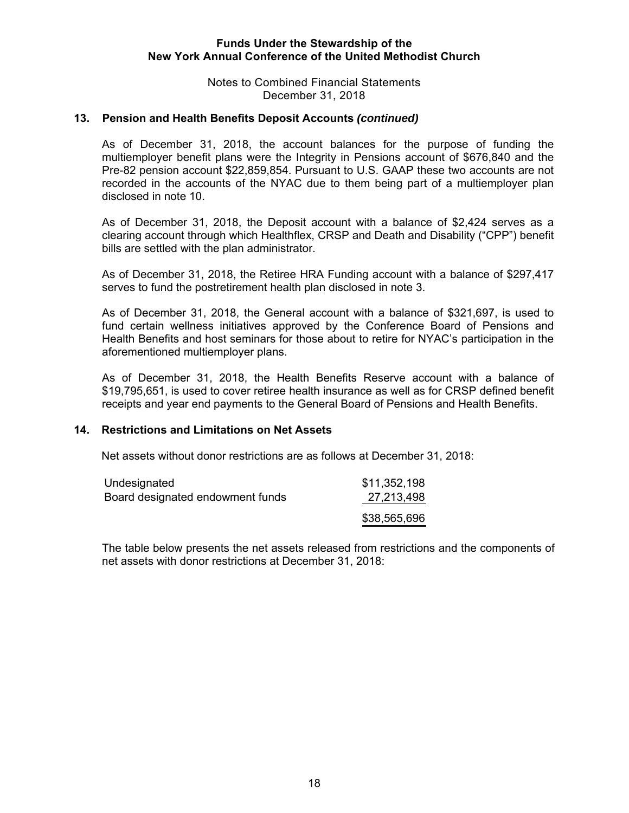Notes to Combined Financial Statements December 31, 2018

## **13. Pension and Health Benefits Deposit Accounts** *(continued)*

As of December 31, 2018, the account balances for the purpose of funding the multiemployer benefit plans were the Integrity in Pensions account of \$676,840 and the Pre-82 pension account \$22,859,854. Pursuant to U.S. GAAP these two accounts are not recorded in the accounts of the NYAC due to them being part of a multiemployer plan disclosed in note 10.

As of December 31, 2018, the Deposit account with a balance of \$2,424 serves as a clearing account through which Healthflex, CRSP and Death and Disability ("CPP") benefit bills are settled with the plan administrator.

As of December 31, 2018, the Retiree HRA Funding account with a balance of \$297,417 serves to fund the postretirement health plan disclosed in note 3.

As of December 31, 2018, the General account with a balance of \$321,697, is used to fund certain wellness initiatives approved by the Conference Board of Pensions and Health Benefits and host seminars for those about to retire for NYAC's participation in the aforementioned multiemployer plans.

As of December 31, 2018, the Health Benefits Reserve account with a balance of \$19,795,651, is used to cover retiree health insurance as well as for CRSP defined benefit receipts and year end payments to the General Board of Pensions and Health Benefits.

# **14. Restrictions and Limitations on Net Assets**

Net assets without donor restrictions are as follows at December 31, 2018:

| Undesignated                     | \$11,352,198 |
|----------------------------------|--------------|
| Board designated endowment funds | 27,213,498   |
|                                  | \$38,565,696 |

The table below presents the net assets released from restrictions and the components of net assets with donor restrictions at December 31, 2018: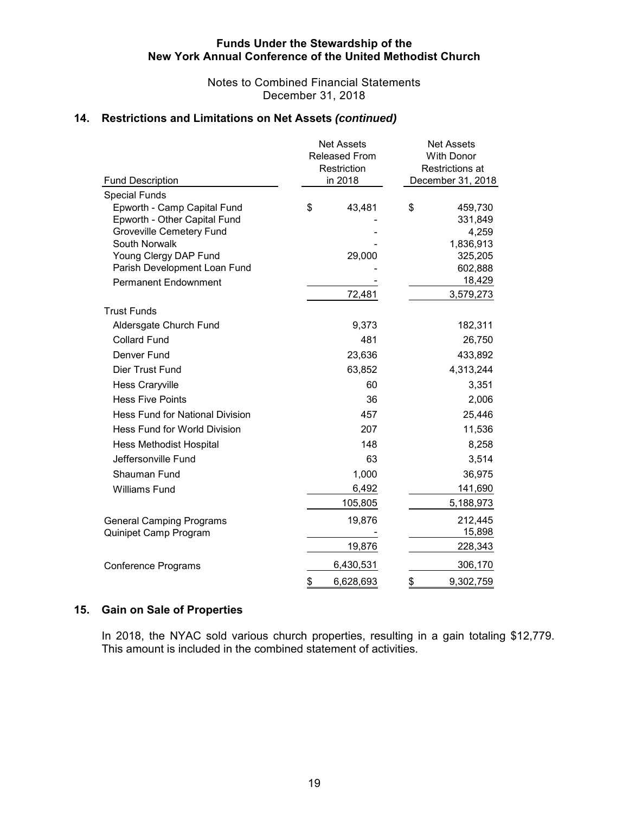Notes to Combined Financial Statements December 31, 2018

# **14. Restrictions and Limitations on Net Assets** *(continued)*

| Fund Description                          | <b>Net Assets</b><br><b>Released From</b><br>Restriction<br>in 2018 |           | <b>Net Assets</b><br><b>With Donor</b><br>Restrictions at<br>December 31, 2018 |  |  |  |
|-------------------------------------------|---------------------------------------------------------------------|-----------|--------------------------------------------------------------------------------|--|--|--|
| <b>Special Funds</b>                      |                                                                     |           |                                                                                |  |  |  |
| Epworth - Camp Capital Fund               | \$<br>43,481                                                        | \$        | 459,730                                                                        |  |  |  |
| Epworth - Other Capital Fund              |                                                                     |           | 331,849                                                                        |  |  |  |
| Groveville Cemetery Fund<br>South Norwalk |                                                                     |           | 4,259                                                                          |  |  |  |
| Young Clergy DAP Fund                     | 29,000                                                              |           | 1,836,913<br>325,205                                                           |  |  |  |
| Parish Development Loan Fund              |                                                                     |           | 602,888                                                                        |  |  |  |
| <b>Permanent Endownment</b>               |                                                                     |           | 18,429                                                                         |  |  |  |
|                                           | 72,481                                                              | 3,579,273 |                                                                                |  |  |  |
| <b>Trust Funds</b>                        |                                                                     |           |                                                                                |  |  |  |
| Aldersgate Church Fund                    | 9,373                                                               |           | 182,311                                                                        |  |  |  |
| <b>Collard Fund</b>                       | 481                                                                 |           | 26,750                                                                         |  |  |  |
| Denver Fund                               | 23,636                                                              |           | 433,892                                                                        |  |  |  |
| Dier Trust Fund                           | 63,852                                                              |           | 4,313,244                                                                      |  |  |  |
| <b>Hess Craryville</b>                    | 60                                                                  |           | 3,351                                                                          |  |  |  |
| <b>Hess Five Points</b>                   | 36                                                                  |           | 2,006                                                                          |  |  |  |
| <b>Hess Fund for National Division</b>    | 457                                                                 |           | 25,446                                                                         |  |  |  |
| Hess Fund for World Division              | 207                                                                 |           | 11,536                                                                         |  |  |  |
| <b>Hess Methodist Hospital</b>            | 148                                                                 |           | 8,258                                                                          |  |  |  |
| Jeffersonville Fund                       | 63                                                                  |           | 3,514                                                                          |  |  |  |
| Shauman Fund                              | 1,000                                                               |           | 36,975                                                                         |  |  |  |
| <b>Williams Fund</b>                      | 6,492                                                               |           | 141,690                                                                        |  |  |  |
|                                           | 105,805                                                             |           | 5,188,973                                                                      |  |  |  |
| <b>General Camping Programs</b>           | 19,876                                                              |           | 212,445                                                                        |  |  |  |
| Quinipet Camp Program                     |                                                                     |           | 15,898                                                                         |  |  |  |
|                                           | 19,876                                                              |           | 228,343                                                                        |  |  |  |
| <b>Conference Programs</b>                | 6,430,531                                                           |           | 306,170                                                                        |  |  |  |
|                                           | \$<br>6,628,693                                                     | \$        | 9,302,759                                                                      |  |  |  |

# **15. Gain on Sale of Properties**

In 2018, the NYAC sold various church properties, resulting in a gain totaling \$12,779. This amount is included in the combined statement of activities.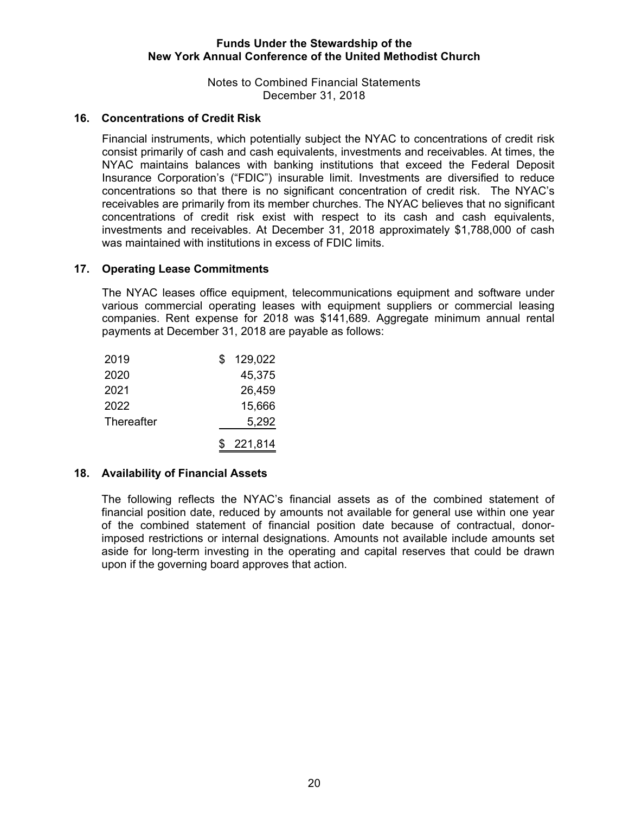Notes to Combined Financial Statements December 31, 2018

# **16. Concentrations of Credit Risk**

Financial instruments, which potentially subject the NYAC to concentrations of credit risk consist primarily of cash and cash equivalents, investments and receivables. At times, the NYAC maintains balances with banking institutions that exceed the Federal Deposit Insurance Corporation's ("FDIC") insurable limit. Investments are diversified to reduce concentrations so that there is no significant concentration of credit risk. The NYAC's receivables are primarily from its member churches. The NYAC believes that no significant concentrations of credit risk exist with respect to its cash and cash equivalents, investments and receivables. At December 31, 2018 approximately \$1,788,000 of cash was maintained with institutions in excess of FDIC limits.

## **17. Operating Lease Commitments**

The NYAC leases office equipment, telecommunications equipment and software under various commercial operating leases with equipment suppliers or commercial leasing companies. Rent expense for 2018 was \$141,689. Aggregate minimum annual rental payments at December 31, 2018 are payable as follows:

| 2019       | \$. | 129,022 |
|------------|-----|---------|
| 2020       |     | 45,375  |
| 2021       |     | 26,459  |
| 2022       |     | 15,666  |
| Thereafter |     | 5,292   |
|            | SS. | 221,814 |

#### **18. Availability of Financial Assets**

The following reflects the NYAC's financial assets as of the combined statement of financial position date, reduced by amounts not available for general use within one year of the combined statement of financial position date because of contractual, donorimposed restrictions or internal designations. Amounts not available include amounts set aside for long-term investing in the operating and capital reserves that could be drawn upon if the governing board approves that action.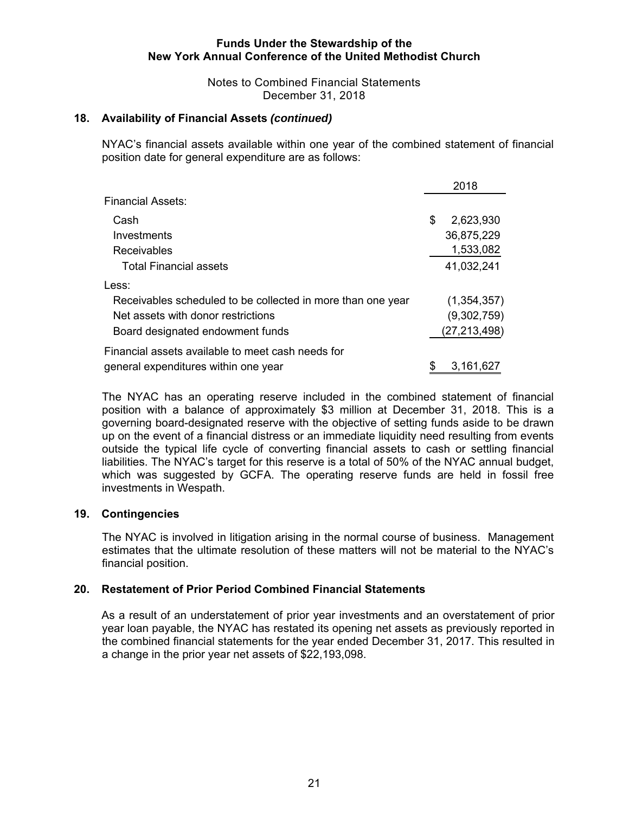Notes to Combined Financial Statements December 31, 2018

# **18. Availability of Financial Assets** *(continued)*

NYAC's financial assets available within one year of the combined statement of financial position date for general expenditure are as follows:

|                                                             | 2018            |
|-------------------------------------------------------------|-----------------|
| <b>Financial Assets:</b>                                    |                 |
| Cash                                                        | \$<br>2,623,930 |
| Investments                                                 | 36,875,229      |
| Receivables                                                 | 1,533,082       |
| <b>Total Financial assets</b>                               | 41,032,241      |
| Less:                                                       |                 |
| Receivables scheduled to be collected in more than one year | (1, 354, 357)   |
| Net assets with donor restrictions                          | (9,302,759)     |
| Board designated endowment funds                            | (27,213,498)    |
| Financial assets available to meet cash needs for           |                 |
| general expenditures within one year                        | \$<br>3,161,627 |

The NYAC has an operating reserve included in the combined statement of financial position with a balance of approximately \$3 million at December 31, 2018. This is a governing board-designated reserve with the objective of setting funds aside to be drawn up on the event of a financial distress or an immediate liquidity need resulting from events outside the typical life cycle of converting financial assets to cash or settling financial liabilities. The NYAC's target for this reserve is a total of 50% of the NYAC annual budget, which was suggested by GCFA. The operating reserve funds are held in fossil free investments in Wespath.

# **19. Contingencies**

The NYAC is involved in litigation arising in the normal course of business. Management estimates that the ultimate resolution of these matters will not be material to the NYAC's financial position.

#### **20. Restatement of Prior Period Combined Financial Statements**

As a result of an understatement of prior year investments and an overstatement of prior year loan payable, the NYAC has restated its opening net assets as previously reported in the combined financial statements for the year ended December 31, 2017. This resulted in a change in the prior year net assets of \$22,193,098.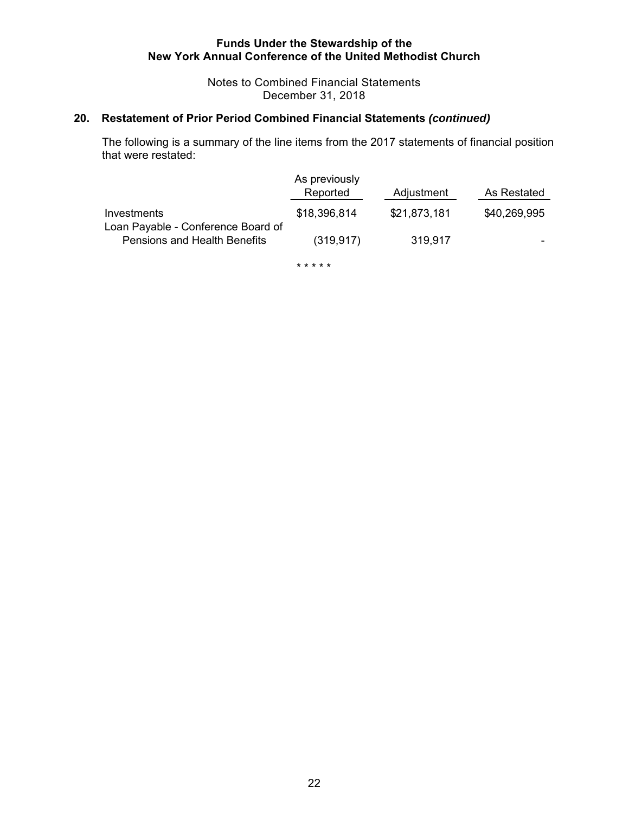Notes to Combined Financial Statements December 31, 2018

# **20. Restatement of Prior Period Combined Financial Statements** *(continued)*

The following is a summary of the line items from the 2017 statements of financial position that were restated:

|                                                                    | As previously<br>Reported | Adjustment   | As Restated  |
|--------------------------------------------------------------------|---------------------------|--------------|--------------|
| Investments                                                        | \$18,396,814              | \$21,873,181 | \$40,269,995 |
| Loan Payable - Conference Board of<br>Pensions and Health Benefits | (319.917)                 | 319.917      |              |

\* \* \* \* \*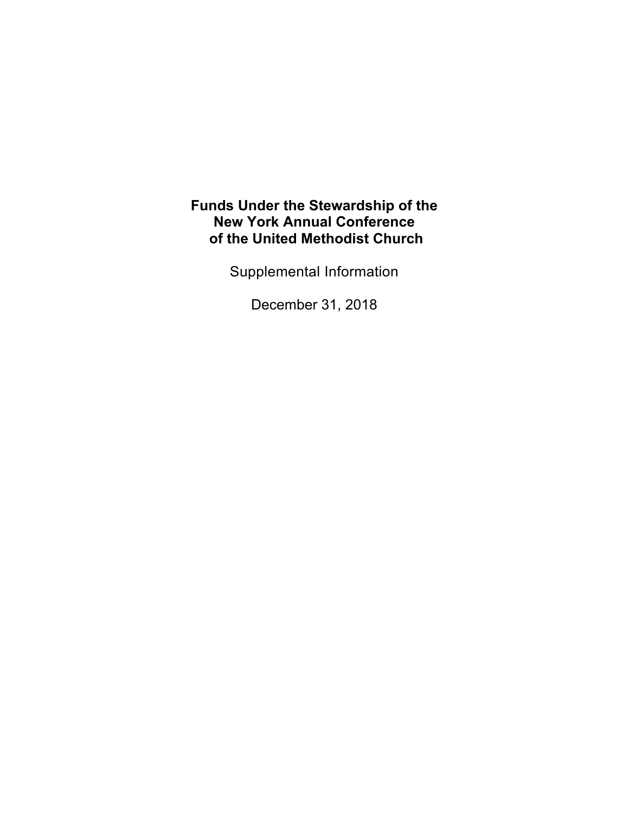Supplemental Information

December 31, 2018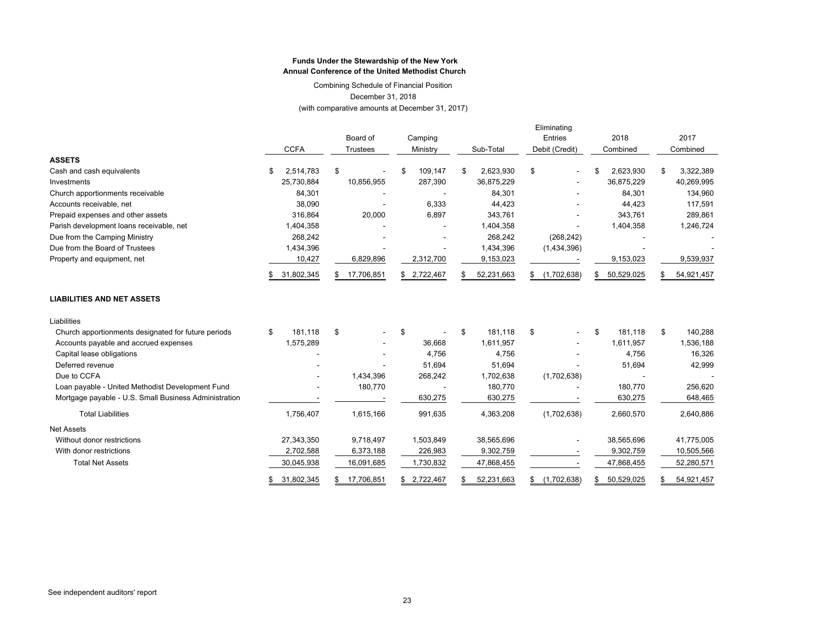Combining Schedule of Financial Position December 31, 2018

(with comparative amounts at December 31, 2017)

|                                                       |                  |           | Board of        | Camping  |             |           |            |                | Eliminating<br><b>Entries</b> | 2018      |            |          | 2017       |
|-------------------------------------------------------|------------------|-----------|-----------------|----------|-------------|-----------|------------|----------------|-------------------------------|-----------|------------|----------|------------|
|                                                       | <b>CCFA</b>      |           | <b>Trustees</b> | Ministry |             | Sub-Total |            | Debit (Credit) |                               | Combined  |            | Combined |            |
| <b>ASSETS</b>                                         |                  |           |                 |          |             |           |            |                |                               |           |            |          |            |
| Cash and cash equivalents                             | \$<br>2,514,783  | \$        |                 |          | 109,147     | \$        | 2,623,930  | \$             |                               | \$        | 2,623,930  | \$       | 3,322,389  |
| Investments                                           | 25,730,884       |           | 10,856,955      |          | 287,390     |           | 36,875,229 |                |                               |           | 36,875,229 |          | 40,269,995 |
| Church apportionments receivable                      | 84,301           |           |                 |          |             |           | 84,301     |                |                               |           | 84,301     |          | 134,960    |
| Accounts receivable, net                              | 38,090           |           |                 |          | 6,333       |           | 44,423     |                |                               |           | 44,423     |          | 117,591    |
| Prepaid expenses and other assets                     | 316,864          |           | 20,000          |          | 6,897       |           | 343,761    |                |                               |           | 343,761    |          | 289,861    |
| Parish development loans receivable, net              | 1,404,358        |           |                 |          |             |           | 1,404,358  |                |                               |           | 1,404,358  |          | 1,246,724  |
| Due from the Camping Ministry                         | 268,242          |           |                 |          |             |           | 268,242    |                | (268, 242)                    |           |            |          |            |
| Due from the Board of Trustees                        | 1,434,396        |           |                 |          |             |           | 1,434,396  |                | (1,434,396)                   |           |            |          |            |
| Property and equipment, net                           | 10,427           | 6,829,896 |                 |          | 2,312,700   | 9,153,023 |            |                |                               | 9,153,023 |            |          | 9,539,937  |
|                                                       | 31,802,345       | \$.       | 17,706,851      |          | \$2,722,467 |           | 52,231,663 | \$             | (1,702,638)                   | \$        | 50,529,025 |          | 54,921,457 |
| <b>LIABILITIES AND NET ASSETS</b>                     |                  |           |                 |          |             |           |            |                |                               |           |            |          |            |
| Liabilities                                           |                  |           |                 |          |             |           |            |                |                               |           |            |          |            |
| Church apportionments designated for future periods   | \$<br>181.118    | \$        |                 | \$       |             | \$        | 181.118    | \$             | ٠                             | \$        | 181.118    | \$       | 140,288    |
| Accounts payable and accrued expenses                 | 1,575,289        |           |                 |          | 36,668      |           | 1,611,957  |                |                               |           | 1,611,957  |          | 1,536,188  |
| Capital lease obligations                             |                  |           |                 |          | 4,756       |           | 4,756      |                |                               |           | 4,756      |          | 16,326     |
| Deferred revenue                                      |                  |           |                 |          | 51,694      |           | 51,694     |                |                               |           | 51,694     |          | 42,999     |
| Due to CCFA                                           |                  |           | 1,434,396       |          | 268,242     |           | 1,702,638  |                | (1,702,638)                   |           |            |          |            |
| Loan payable - United Methodist Development Fund      |                  |           | 180,770         |          |             |           | 180,770    |                |                               |           | 180,770    |          | 256,620    |
| Mortgage payable - U.S. Small Business Administration |                  |           |                 |          | 630,275     |           | 630,275    |                |                               |           | 630,275    |          | 648,465    |
| <b>Total Liabilities</b>                              | 1,756,407        |           | 1,615,166       |          | 991,635     |           | 4,363,208  |                | (1,702,638)                   |           | 2,660,570  |          | 2,640,886  |
| <b>Net Assets</b>                                     |                  |           |                 |          |             |           |            |                |                               |           |            |          |            |
| Without donor restrictions                            | 27,343,350       |           | 9,718,497       |          | 1,503,849   |           | 38,565,696 |                |                               |           | 38,565,696 |          | 41,775,005 |
| With donor restrictions                               | 2,702,588        |           | 6,373,188       |          | 226,983     |           | 9,302,759  |                |                               |           | 9,302,759  |          | 10,505,566 |
| <b>Total Net Assets</b>                               | 30,045,938       |           | 16,091,685      |          | 1,730,832   |           | 47,868,455 |                |                               |           | 47,868,455 |          | 52,280,571 |
|                                                       | \$<br>31,802,345 | \$.       | 17,706,851      | \$       | 2.722.467   | \$        | 52,231,663 | \$             | (1,702,638)                   | \$        | 50,529,025 | \$.      | 54,921,457 |